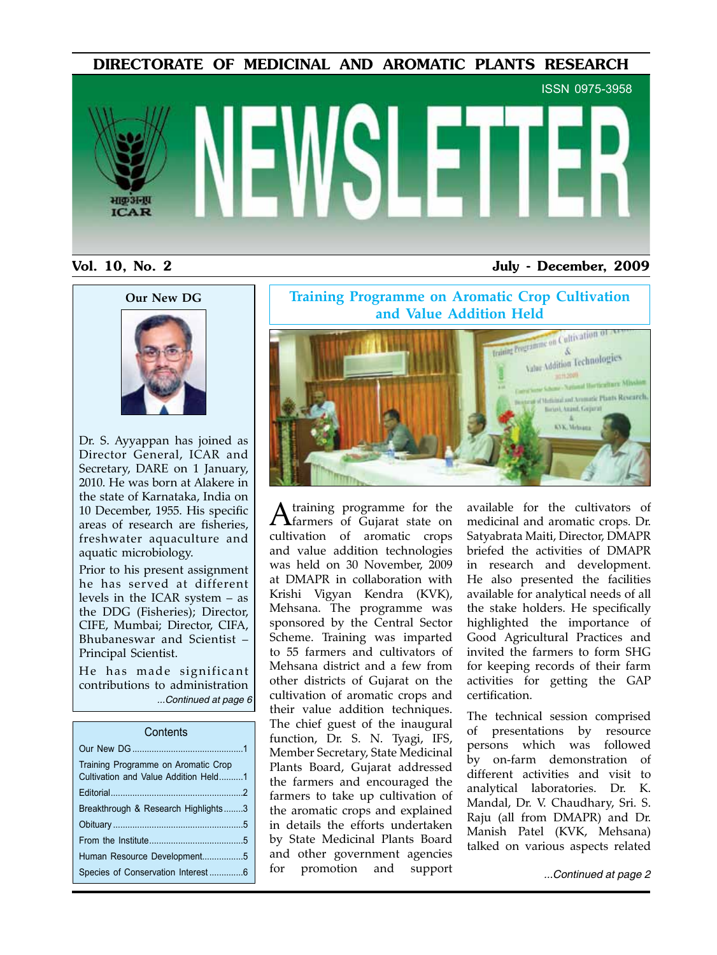DIRECTORATE OF MEDICINAL AND AROMATIC PLANTS RESEARCH



#### Vol. 10, No. 2 July - December, 2009





Dr. S. Ayyappan has joined as Director General, ICAR and Secretary, DARE on 1 January, 2010. He was born at Alakere in the state of Karnataka, India on 10 December, 1955. His specific areas of research are fisheries, freshwater aquaculture and aquatic microbiology.

Prior to his present assignment he has served at different levels in the ICAR system – as the DDG (Fisheries); Director, CIFE, Mumbai; Director, CIFA, Bhubaneswar and Scientist – Principal Scientist.

He has made significant contributions to administration *...Continued at page 6*

#### **Contents**

| Training Programme on Aromatic Crop<br>Cultivation and Value Addition Held1 |  |
|-----------------------------------------------------------------------------|--|
|                                                                             |  |
| Breakthrough & Research Highlights3                                         |  |
|                                                                             |  |
|                                                                             |  |
| Human Resource Development5                                                 |  |
| Species of Conservation Interest 6                                          |  |

**Training Programme on Aromatic Crop Cultivation and Value Addition Held**<br> **Addition Held**<br> **Addition of Addition Of Addition of Addition of Addition of Addition of Addition of Addition of Addition of Addition of Addition of Addition of Addition of Addition of Addition** Value Addition Technologies  $=111,200$ of Metidian and Amenatic Plants Research. Beiel, Asind, Gejarat KYK, Mehiama

A training programme for the farmers of Gujarat state on cultivation of aromatic crops and value addition technologies was held on 30 November, 2009 at DMAPR in collaboration with Krishi Vigyan Kendra (KVK), Mehsana. The programme was sponsored by the Central Sector Scheme. Training was imparted to 55 farmers and cultivators of Mehsana district and a few from other districts of Gujarat on the cultivation of aromatic crops and their value addition techniques. The chief guest of the inaugural function, Dr. S. N. Tyagi, IFS, Member Secretary, State Medicinal Plants Board, Gujarat addressed the farmers and encouraged the farmers to take up cultivation of the aromatic crops and explained in details the efforts undertaken by State Medicinal Plants Board and other government agencies for promotion and support

available for the cultivators of medicinal and aromatic crops. Dr. Satyabrata Maiti, Director, DMAPR briefed the activities of DMAPR in research and development. He also presented the facilities available for analytical needs of all the stake holders. He specifically highlighted the importance of Good Agricultural Practices and invited the farmers to form SHG for keeping records of their farm activities for getting the GAP certification.

The technical session comprised of presentations by resource persons which was followed by on-farm demonstration of different activities and visit to analytical laboratories. Dr. K. Mandal, Dr. V. Chaudhary, Sri. S. Raju (all from DMAPR) and Dr. Manish Patel (KVK, Mehsana) talked on various aspects related

Species of Conservation Interest ..............6 *...Continued at page 2*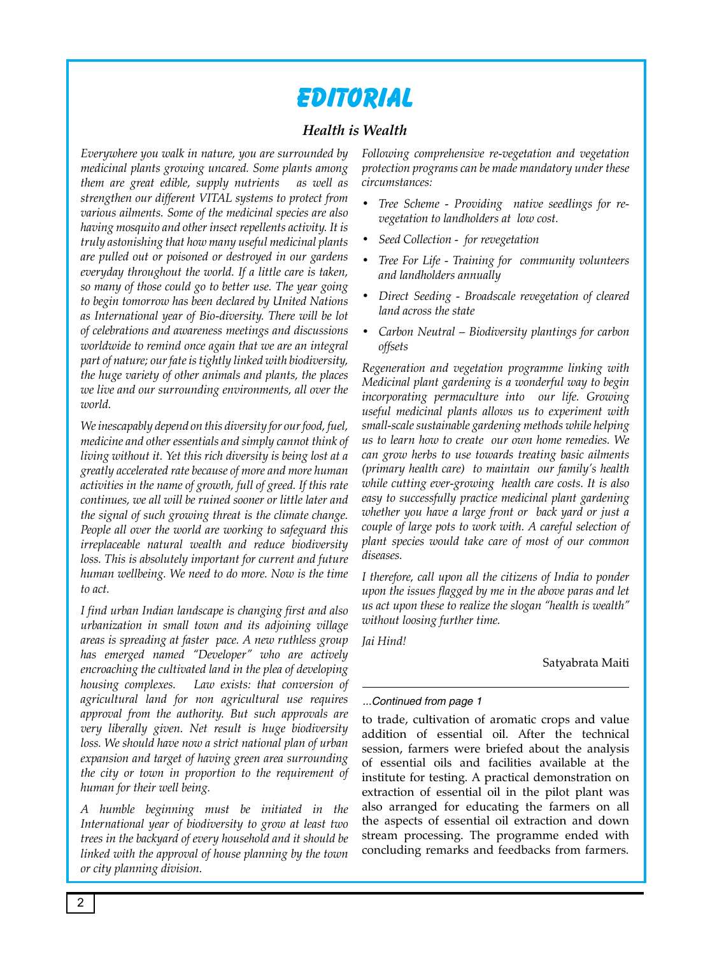# **Editorial**

### *Health is Wealth*

*Everywhere you walk in nature, you are surrounded by medicinal plants growing uncared. Some plants among them are great edible, supply nutrients as well as strengthen our different VITAL systems to protect from various ailments. Some of the medicinal species are also having mosquito and other insect repellents activity. It is truly astonishing that how many useful medicinal plants are pulled out or poisoned or destroyed in our gardens everyday throughout the world. If a little care is taken, so many of those could go to better use. The year going to begin tomorrow has been declared by United Nations as International year of Bio-diversity. There will be lot of celebrations and awareness meetings and discussions worldwide to remind once again that we are an integral part of nature; our fate is tightly linked with biodiversity, the huge variety of other animals and plants, the places we live and our surrounding environments, all over the world.* 

*We inescapably depend on this diversity for our food, fuel, medicine and other essentials and simply cannot think of living without it. Yet this rich diversity is being lost at a greatly accelerated rate because of more and more human activities in the name of growth, full of greed. If this rate continues, we all will be ruined sooner or little later and the signal of such growing threat is the climate change. People all over the world are working to safeguard this irreplaceable natural wealth and reduce biodiversity*  loss. This is absolutely important for current and future *human wellbeing. We need to do more. Now is the time to act.* 

*I find urban Indian landscape is changing first and also urbanization in small town and its adjoining village areas is spreading at faster pace. A new ruthless group has emerged named "Developer" who are actively encroaching the cultivated land in the plea of developing housing complexes. Law exists: that conversion of agricultural land for non agricultural use requires approval from the authority. But such approvals are very liberally given. Net result is huge biodiversity loss. We should have now a strict national plan of urban expansion and target of having green area surrounding the city or town in proportion to the requirement of human for their well being.* 

*A humble beginning must be initiated in the International year of biodiversity to grow at least two trees in the backyard of every household and it should be linked with the approval of house planning by the town or city planning division.* 

*Following comprehensive re-vegetation and vegetation protection programs can be made mandatory under these circumstances:*

- *• Tree Scheme - Providing native seedlings for revegetation to landholders at low cost.*
- *• Seed Collection for revegetation*
- *• Tree For Life - Training for community volunteers and landholders annually*
- *• Direct Seeding - Broadscale revegetation of cleared land across the state*
- *• Carbon Neutral – Biodiversity plantings for carbon offsets*

*Regeneration and vegetation programme linking with Medicinal plant gardening is a wonderful way to begin incorporating permaculture into our life. Growing useful medicinal plants allows us to experiment with small-scale sustainable gardening methods while helping us to learn how to create our own home remedies. We can grow herbs to use towards treating basic ailments (primary health care) to maintain our family's health while cutting ever-growing health care costs. It is also easy to successfully practice medicinal plant gardening whether you have a large front or back yard or just a couple of large pots to work with. A careful selection of plant species would take care of most of our common diseases.*

*I therefore, call upon all the citizens of India to ponder upon the issues flagged by me in the above paras and let us act upon these to realize the slogan "health is wealth" without loosing further time.* 

*Jai Hind!*

Satyabrata Maiti

#### *...Continued from page 1*

to trade, cultivation of aromatic crops and value addition of essential oil. After the technical session, farmers were briefed about the analysis of essential oils and facilities available at the institute for testing. A practical demonstration on extraction of essential oil in the pilot plant was also arranged for educating the farmers on all the aspects of essential oil extraction and down stream processing. The programme ended with concluding remarks and feedbacks from farmers.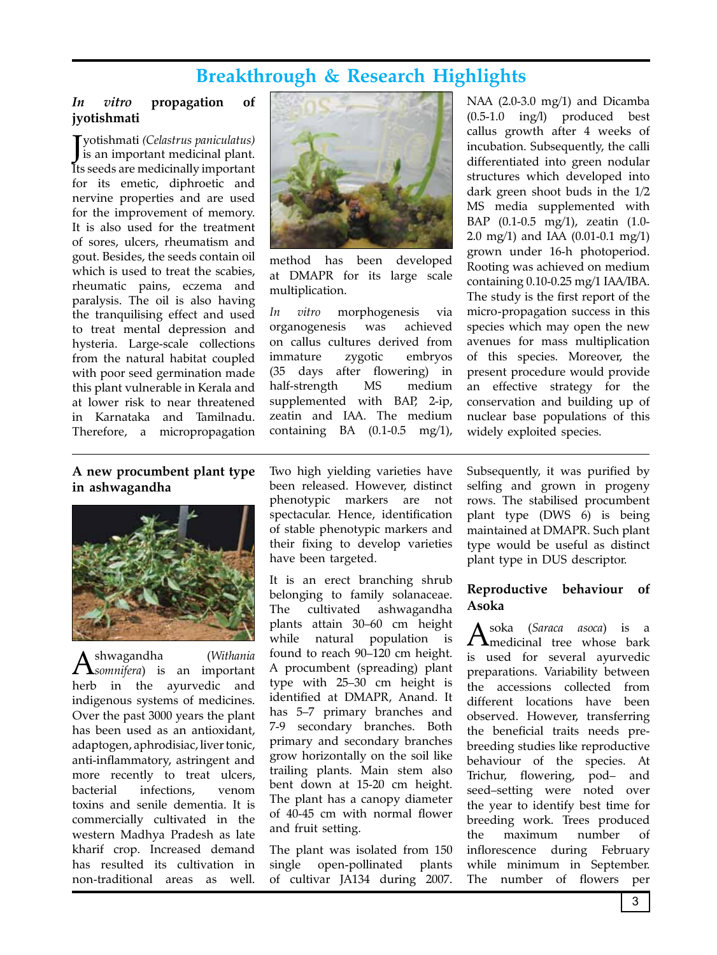# **Breakthrough & Research Highlights**

#### *In vitro* **propagation of jyotishmati**

J yotishmati *(Celastrus paniculatus)* is an important medicinal plant. Its seeds are medicinally important for its emetic, diphroetic and nervine properties and are used for the improvement of memory. It is also used for the treatment of sores, ulcers, rheumatism and gout. Besides, the seeds contain oil which is used to treat the scabies, rheumatic pains, eczema and paralysis. The oil is also having the tranquilising effect and used to treat mental depression and hysteria. Large-scale collections from the natural habitat coupled with poor seed germination made this plant vulnerable in Kerala and at lower risk to near threatened in Karnataka and Tamilnadu. Therefore, a micropropagation



method has been developed at DMAPR for its large scale multiplication.

*In vitro* morphogenesis via organogenesis was achieved on callus cultures derived from immature zygotic embryos (35 days after flowering) in half-strength MS medium supplemented with BAP, 2-ip, zeatin and IAA. The medium containing BA (0.1-0.5 mg/1),

NAA (2.0-3.0 mg/1) and Dicamba (0.5-1.0 ing/l) produced best callus growth after 4 weeks of incubation. Subsequently, the calli differentiated into green nodular structures which developed into dark green shoot buds in the 1/2 MS media supplemented with BAP (0.1-0.5 mg/1), zeatin (1.0- 2.0 mg/1) and IAA (0.01-0.1 mg/1) grown under 16-h photoperiod. Rooting was achieved on medium containing 0.10-0.25 mg/1 IAA/IBA. The study is the first report of the micro-propagation success in this species which may open the new avenues for mass multiplication of this species. Moreover, the present procedure would provide an effective strategy for the conservation and building up of nuclear base populations of this widely exploited species.

#### **A new procumbent plant type in ashwagandha**



Ashwagandha (*Withania somnifera*) is an important herb in the ayurvedic and indigenous systems of medicines. Over the past 3000 years the plant has been used as an antioxidant, adaptogen, aphrodisiac, liver tonic, anti-inflammatory, astringent and more recently to treat ulcers, bacterial infections, venom toxins and senile dementia. It is commercially cultivated in the western Madhya Pradesh as late kharif crop. Increased demand has resulted its cultivation in non-traditional areas as well.

Two high yielding varieties have been released. However, distinct phenotypic markers are not spectacular. Hence, identification of stable phenotypic markers and their fixing to develop varieties have been targeted.

It is an erect branching shrub belonging to family solanaceae. The cultivated ashwagandha plants attain 30–60 cm height while natural population is found to reach 90–120 cm height. A procumbent (spreading) plant type with 25–30 cm height is identified at DMAPR, Anand. It has 5–7 primary branches and 7-9 secondary branches. Both primary and secondary branches grow horizontally on the soil like trailing plants. Main stem also bent down at 15-20 cm height. The plant has a canopy diameter of 40-45 cm with normal flower and fruit setting.

The plant was isolated from 150 single open-pollinated plants of cultivar JA134 during 2007.

Subsequently, it was purified by selfing and grown in progeny rows. The stabilised procumbent plant type (DWS 6) is being maintained at DMAPR. Such plant type would be useful as distinct plant type in DUS descriptor.

#### **Reproductive behaviour of Asoka**

Asoka (*Saraca asoca*) is a medicinal tree whose bark is used for several ayurvedic preparations. Variability between the accessions collected from different locations have been observed. However, transferring the beneficial traits needs prebreeding studies like reproductive behaviour of the species. At Trichur, flowering, pod– and seed–setting were noted over the year to identify best time for breeding work. Trees produced the maximum number of inflorescence during February while minimum in September. The number of flowers per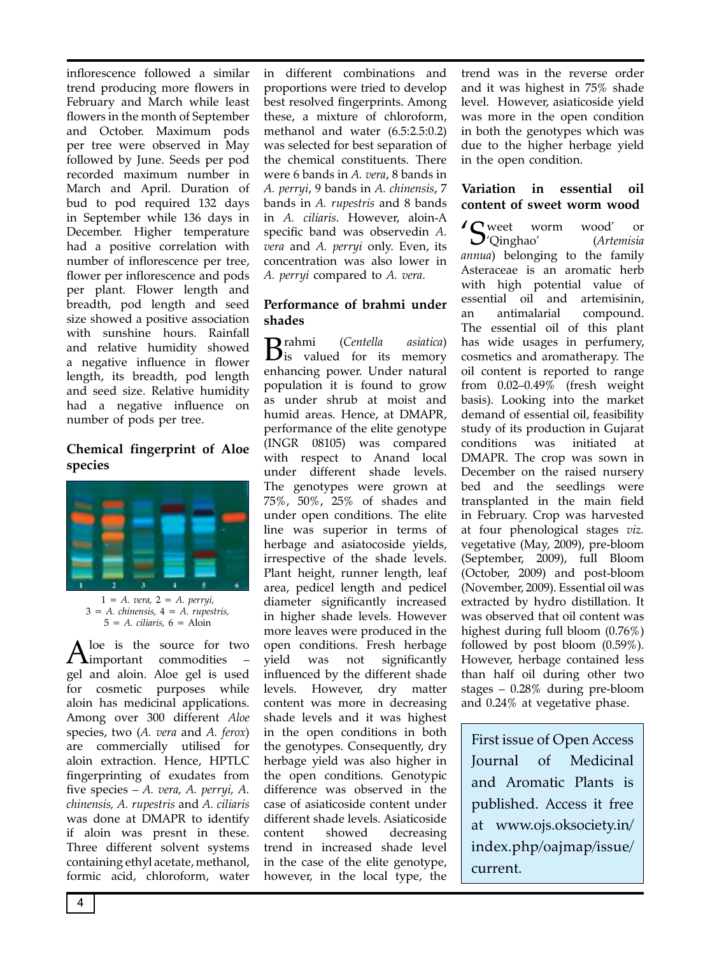inflorescence followed a similar trend producing more flowers in February and March while least flowers in the month of September and October. Maximum pods per tree were observed in May followed by June. Seeds per pod recorded maximum number in March and April. Duration of bud to pod required 132 days in September while 136 days in December. Higher temperature had a positive correlation with number of inflorescence per tree, flower per inflorescence and pods per plant. Flower length and breadth, pod length and seed size showed a positive association with sunshine hours. Rainfall and relative humidity showed a negative influence in flower length, its breadth, pod length and seed size. Relative humidity had a negative influence on number of pods per tree.

#### **Chemical fingerprint of Aloe species**



1 *= A. vera,* 2 *= A. perryi,*  3 *= A. chinensis,* 4 *= A. rupestris,*  5 *= A. ciliaris,* 6 = Aloin

 $A<sup>loc</sup>$  is the source for two  $$ gel and aloin. Aloe gel is used for cosmetic purposes while aloin has medicinal applications. Among over 300 different *Aloe* species, two (*A. vera* and *A. ferox*) are commercially utilised for aloin extraction. Hence, HPTLC fingerprinting of exudates from five species – *A. vera, A. perryi, A. chinensis, A. rupestris* and *A. ciliaris*  was done at DMAPR to identify if aloin was presnt in these. Three different solvent systems containing ethyl acetate, methanol, formic acid, chloroform, water

in different combinations and proportions were tried to develop best resolved fingerprints. Among these, a mixture of chloroform, methanol and water (6.5:2.5:0.2) was selected for best separation of the chemical constituents. There were 6 bands in *A. vera*, 8 bands in *A. perryi*, 9 bands in *A. chinensis*, 7 bands in *A. rupestris* and 8 bands in *A. ciliaris*. However, aloin-A specific band was observedin *A. vera* and *A. perryi* only. Even, its concentration was also lower in *A. perryi* compared to *A. vera*.

#### **Performance of brahmi under shades**

Brahmi (*Centella asiatica*) is valued for its memory enhancing power. Under natural population it is found to grow as under shrub at moist and humid areas. Hence, at DMAPR, performance of the elite genotype (INGR 08105) was compared with respect to Anand local under different shade levels. The genotypes were grown at 75%, 50%, 25% of shades and under open conditions. The elite line was superior in terms of herbage and asiatocoside yields, irrespective of the shade levels. Plant height, runner length, leaf area, pedicel length and pedicel diameter significantly increased in higher shade levels. However more leaves were produced in the open conditions. Fresh herbage yield was not significantly influenced by the different shade levels. However, dry matter content was more in decreasing shade levels and it was highest in the open conditions in both the genotypes. Consequently, dry herbage yield was also higher in the open conditions. Genotypic difference was observed in the case of asiaticoside content under different shade levels. Asiaticoside content showed decreasing trend in increased shade level in the case of the elite genotype, however, in the local type, the trend was in the reverse order and it was highest in 75% shade level. However, asiaticoside yield was more in the open condition in both the genotypes which was due to the higher herbage yield in the open condition.

#### **Variation in essential oil content of sweet worm wood**

Sweet worm wood' or<br>Cinghao' (Artemisia 'Qinghao' (*Artemisia annua*) belonging to the family Asteraceae is an aromatic herb with high potential value of essential oil and artemisinin, an antimalarial compound. The essential oil of this plant has wide usages in perfumery, cosmetics and aromatherapy. The oil content is reported to range from 0.02–0.49% (fresh weight basis). Looking into the market demand of essential oil, feasibility study of its production in Gujarat conditions was initiated at DMAPR. The crop was sown in December on the raised nursery bed and the seedlings were transplanted in the main field in February. Crop was harvested at four phenological stages *viz.* vegetative (May, 2009), pre-bloom (September, 2009), full Bloom (October, 2009) and post-bloom (November, 2009). Essential oil was extracted by hydro distillation. It was observed that oil content was highest during full bloom (0.76%) followed by post bloom (0.59%). However, herbage contained less than half oil during other two stages – 0.28% during pre-bloom and 0.24% at vegetative phase.

First issue of Open Access Journal of Medicinal and Aromatic Plants is published. Access it free at www.ojs.oksociety.in/ index.php/oajmap/issue/ current.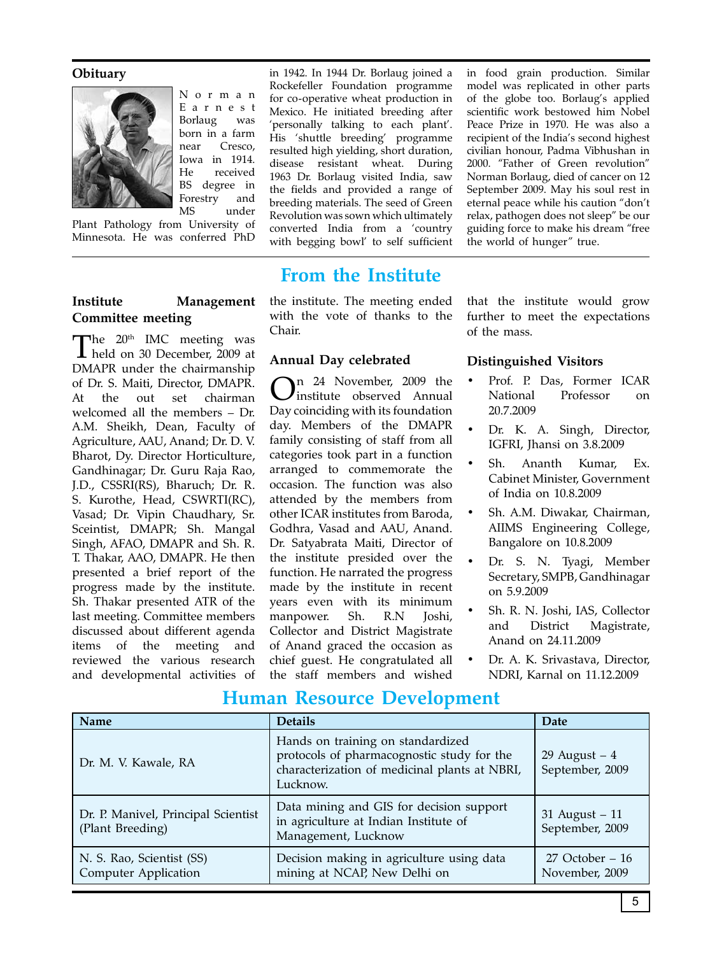#### **Obituary**



**Committee meeting**

N o r m a n E a r n e s t Borlaug was born in a farm near Cresco, Iowa in 1914. He received BS degree in Forestry and<br>MS under under

Plant Pathology from University of Minnesota. He was conferred PhD

The  $20<sup>th</sup>$  IMC meeting was **1** held on 30 December, 2009 at DMAPR under the chairmanship of Dr. S. Maiti, Director, DMAPR. At the out set chairman welcomed all the members – Dr. A.M. Sheikh, Dean, Faculty of Agriculture, AAU, Anand; Dr. D. V. Bharot, Dy. Director Horticulture, Gandhinagar; Dr. Guru Raja Rao, J.D., CSSRI(RS), Bharuch; Dr. R. S. Kurothe, Head, CSWRTI(RC), Vasad; Dr. Vipin Chaudhary, Sr. Sceintist, DMAPR; Sh. Mangal Singh, AFAO, DMAPR and Sh. R. T. Thakar, AAO, DMAPR. He then presented a brief report of the progress made by the institute. Sh. Thakar presented ATR of the last meeting. Committee members discussed about different agenda items of the meeting and reviewed the various research and developmental activities of

in 1942. In 1944 Dr. Borlaug joined a Rockefeller Foundation programme for co-operative wheat production in Mexico. He initiated breeding after 'personally talking to each plant'. His 'shuttle breeding' programme resulted high yielding, short duration, disease resistant wheat. During 1963 Dr. Borlaug visited India, saw the fields and provided a range of breeding materials. The seed of Green Revolution was sown which ultimately converted India from a 'country with begging bowl' to self sufficient

# **From the Institute**

**Institute Management**  the institute. The meeting ended with the vote of thanks to the Chair.

#### **Annual Day celebrated**

 $\sum_{n=1}^{\infty}$  24 November, 2009 the institute observed Annual Day coinciding with its foundation day. Members of the DMAPR family consisting of staff from all categories took part in a function arranged to commemorate the occasion. The function was also attended by the members from other ICAR institutes from Baroda, Godhra, Vasad and AAU, Anand. Dr. Satyabrata Maiti, Director of the institute presided over the function. He narrated the progress made by the institute in recent years even with its minimum manpower. Sh. R.N Joshi, Collector and District Magistrate of Anand graced the occasion as chief guest. He congratulated all the staff members and wished

in food grain production. Similar model was replicated in other parts of the globe too. Borlaug's applied scientific work bestowed him Nobel Peace Prize in 1970. He was also a recipient of the India's second highest civilian honour, Padma Vibhushan in 2000. "Father of Green revolution" Norman Borlaug, died of cancer on 12 September 2009. May his soul rest in eternal peace while his caution "don't relax, pathogen does not sleep" be our guiding force to make his dream "free the world of hunger" true.

that the institute would grow further to meet the expectations of the mass.

#### **Distinguished Visitors**

- Prof. P. Das, Former ICAR National Professor on 20.7.2009
- Dr. K. A. Singh, Director, IGFRI, Jhansi on 3.8.2009
- Sh. Ananth Kumar, Ex. Cabinet Minister, Government of India on 10.8.2009
- Sh. A.M. Diwakar, Chairman, AIIMS Engineering College, Bangalore on 10.8.2009
- Dr. S. N. Tyagi, Member Secretary, SMPB, Gandhinagar on 5.9.2009
- Sh. R. N. Joshi, IAS, Collector and District Magistrate, Anand on 24.11.2009
- Dr. A. K. Srivastava, Director, NDRI, Karnal on 11.12.2009

| <b>Name</b>                                              | <b>Details</b>                                                                                                                               | <b>Date</b>                          |
|----------------------------------------------------------|----------------------------------------------------------------------------------------------------------------------------------------------|--------------------------------------|
| Dr. M. V. Kawale, RA                                     | Hands on training on standardized<br>protocols of pharmacognostic study for the<br>characterization of medicinal plants at NBRI,<br>Lucknow. | 29 August $-4$<br>September, 2009    |
| Dr. P. Manivel, Principal Scientist<br>(Plant Breeding)  | Data mining and GIS for decision support<br>in agriculture at Indian Institute of<br>Management, Lucknow                                     | $31$ August $-11$<br>September, 2009 |
| N. S. Rao, Scientist (SS)<br><b>Computer Application</b> | Decision making in agriculture using data<br>mining at NCAP, New Delhi on                                                                    | $27$ October – 16<br>November, 2009  |

### **Human Resource Development**